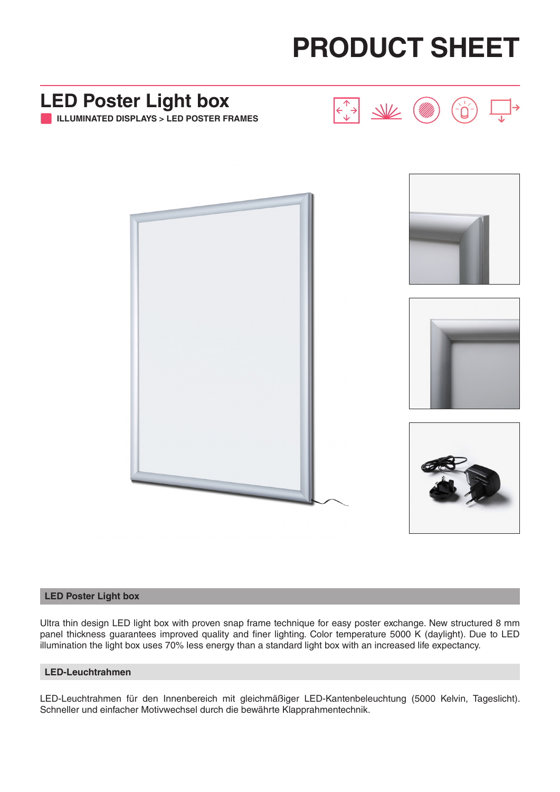



### **LED Poster Light box**

Ultra thin design LED light box with proven snap frame technique for easy poster exchange. New structured 8 mm panel thickness guarantees improved quality and finer lighting. Color temperature 5000 K (daylight). Due to LED illumination the light box uses 70% less energy than a standard light box with an increased life expectancy.

#### **LED-Leuchtrahmen**

LED-Leuchtrahmen für den Innenbereich mit gleichmäßiger LED-Kantenbeleuchtung (5000 Kelvin, Tageslicht). Schneller und einfacher Motivwechsel durch die bewährte Klapprahmentechnik.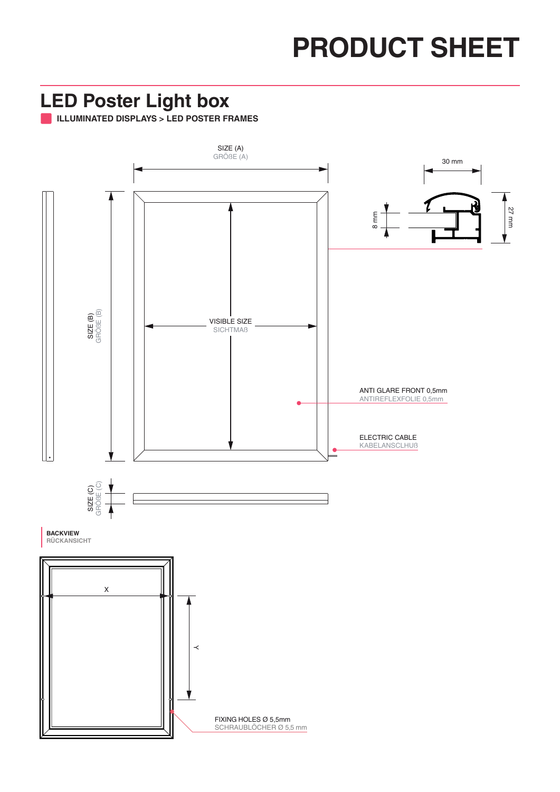# **PRODUCT SHEET**

### **LED Poster Light box**

**ILLUMINATED DISPLAYS > LED POSTER FRAMES**